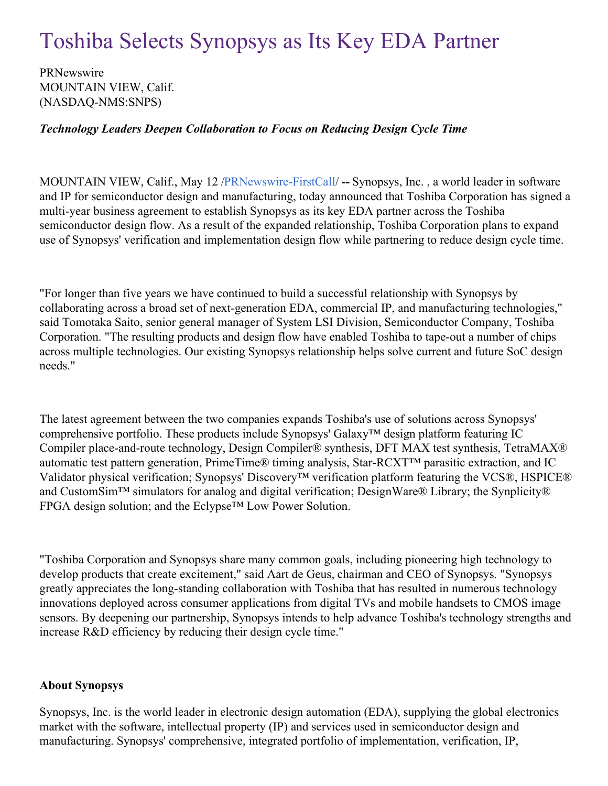## Toshiba Selects Synopsys as Its Key EDA Partner

PRNewswire MOUNTAIN VIEW, Calif. (NASDAQ-NMS:SNPS)

## *Technology Leaders Deepen Collaboration to Focus on Reducing Design Cycle Time*

MOUNTAIN VIEW, Calif., May 12 [/PRNewswire-FirstCall](http://www.prnewswire.com/)/ **--** Synopsys, Inc. , a world leader in software and IP for semiconductor design and manufacturing, today announced that Toshiba Corporation has signed a multi-year business agreement to establish Synopsys as its key EDA partner across the Toshiba semiconductor design flow. As a result of the expanded relationship, Toshiba Corporation plans to expand use of Synopsys' verification and implementation design flow while partnering to reduce design cycle time.

"For longer than five years we have continued to build a successful relationship with Synopsys by collaborating across a broad set of next-generation EDA, commercial IP, and manufacturing technologies," said Tomotaka Saito, senior general manager of System LSI Division, Semiconductor Company, Toshiba Corporation. "The resulting products and design flow have enabled Toshiba to tape-out a number of chips across multiple technologies. Our existing Synopsys relationship helps solve current and future SoC design needs."

The latest agreement between the two companies expands Toshiba's use of solutions across Synopsys' comprehensive portfolio. These products include Synopsys' Galaxy™ design platform featuring IC Compiler place-and-route technology, Design Compiler® synthesis, DFT MAX test synthesis, TetraMAX® automatic test pattern generation, PrimeTime® timing analysis, Star-RCXT™ parasitic extraction, and IC Validator physical verification; Synopsys' Discovery™ verification platform featuring the VCS®, HSPICE® and CustomSim™ simulators for analog and digital verification; DesignWare® Library; the Synplicity® FPGA design solution; and the Eclypse™ Low Power Solution.

"Toshiba Corporation and Synopsys share many common goals, including pioneering high technology to develop products that create excitement," said Aart de Geus, chairman and CEO of Synopsys. "Synopsys greatly appreciates the long-standing collaboration with Toshiba that has resulted in numerous technology innovations deployed across consumer applications from digital TVs and mobile handsets to CMOS image sensors. By deepening our partnership, Synopsys intends to help advance Toshiba's technology strengths and increase R&D efficiency by reducing their design cycle time."

## **About Synopsys**

Synopsys, Inc. is the world leader in electronic design automation (EDA), supplying the global electronics market with the software, intellectual property (IP) and services used in semiconductor design and manufacturing. Synopsys' comprehensive, integrated portfolio of implementation, verification, IP,